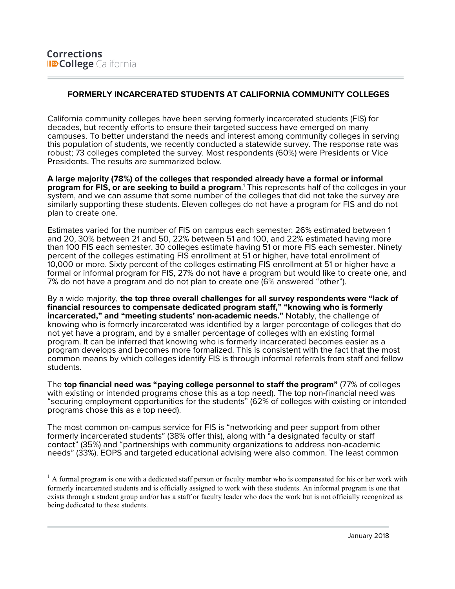# **FORMERLY INCARCERATED STUDENTS AT CALIFORNIA COMMUNITY COLLEGES**

California community colleges have been serving formerly incarcerated students (FIS) for decades, but recently efforts to ensure their targeted success have emerged on many campuses. To better understand the needs and interest among community colleges in serving this population of students, we recently conducted a statewide survey. The response rate was robust; 73 colleges completed the survey. Most respondents (60%) were Presidents or Vice Presidents. The results are summarized below.

**A large majority (78%) of the colleges that responded already have a formal or informal program for FIS, or are seeking to build a program**. <sup>1</sup> This represents half of the colleges in your system, and we can assume that some number of the colleges that did not take the survey are similarly supporting these students. Eleven colleges do not have a program for FIS and do not plan to create one.

Estimates varied for the number of FIS on campus each semester: 26% estimated between 1 and 20, 30% between 21 and 50, 22% between 51 and 100, and 22% estimated having more than 100 FIS each semester. 30 colleges estimate having 51 or more FIS each semester. Ninety percent of the colleges estimating FIS enrollment at 51 or higher, have total enrollment of 10,000 or more. Sixty percent of the colleges estimating FIS enrollment at 51 or higher have a formal or informal program for FIS, 27% do not have a program but would like to create one, and 7% do not have a program and do not plan to create one (6% answered "other").

By a wide majority, **the top three overall challenges for all survey respondents were "lack of financial resources to compensate dedicated program staff," "knowing who is formerly incarcerated," and "meeting students' non-academic needs."** Notably, the challenge of knowing who is formerly incarcerated was identified by a larger percentage of colleges that do not yet have a program, and by a smaller percentage of colleges with an existing formal program. It can be inferred that knowing who is formerly incarcerated becomes easier as a program develops and becomes more formalized. This is consistent with the fact that the most common means by which colleges identify FIS is through informal referrals from staff and fellow students.

The **top financial need was "paying college personnel to staff the program"** (77% of colleges with existing or intended programs chose this as a top need). The top non-financial need was "securing employment opportunities for the students" (62% of colleges with existing or intended programs chose this as a top need).

The most common on-campus service for FIS is "networking and peer support from other formerly incarcerated students" (38% offer this), along with "a designated faculty or staff contact" (35%) and "partnerships with community organizations to address non-academic needs" (33%). EOPS and targeted educational advising were also common. The least common

 $<sup>1</sup>$  A formal program is one with a dedicated staff person or faculty member who is compensated for his or her work with</sup> formerly incarcerated students and is officially assigned to work with these students. An informal program is one that exists through a student group and/or has a staff or faculty leader who does the work but is not officially recognized as being dedicated to these students.